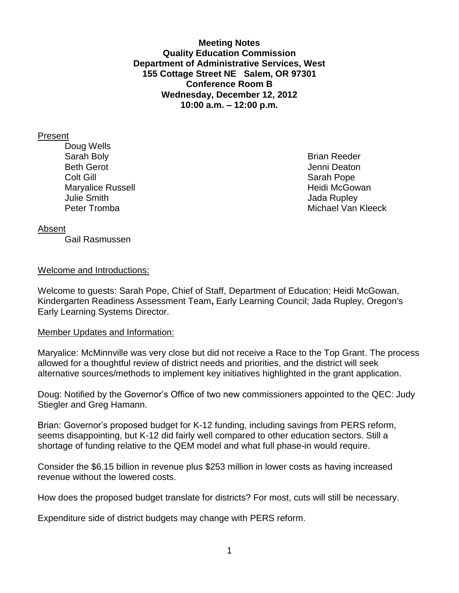**Meeting Notes Quality Education Commission Department of Administrative Services, West 155 Cottage Street NE Salem, OR 97301 Conference Room B Wednesday, December 12, 2012 10:00 a.m. – 12:00 p.m.**

#### Present

Doug Wells Sarah Boly **Brian Reeder Brian Reeder** Beth Gerot Andrew Article Controller and the United States of the United States of the United States of the United States of the United States of the United States of the United States of the United States of the United St **Colt Gill** Sarah Pope Maryalice Russell **Maryalice Russell** McGowan **Maryalice Russell Julie Smith** Jada Rupley

Peter Tromba Michael Van Kleeck

### Absent

Gail Rasmussen

### Welcome and Introductions:

Welcome to guests: Sarah Pope, Chief of Staff, Department of Education; Heidi McGowan, Kindergarten Readiness Assessment Team**,** Early Learning Council; Jada Rupley, Oregon's Early Learning Systems Director.

### Member Updates and Information:

Maryalice: McMinnville was very close but did not receive a Race to the Top Grant. The process allowed for a thoughtful review of district needs and priorities, and the district will seek alternative sources/methods to implement key initiatives highlighted in the grant application.

Doug: Notified by the Governor's Office of two new commissioners appointed to the QEC: Judy Stiegler and Greg Hamann.

Brian: Governor's proposed budget for K-12 funding, including savings from PERS reform, seems disappointing, but K-12 did fairly well compared to other education sectors. Still a shortage of funding relative to the QEM model and what full phase-in would require.

Consider the \$6.15 billion in revenue plus \$253 million in lower costs as having increased revenue without the lowered costs.

How does the proposed budget translate for districts? For most, cuts will still be necessary.

Expenditure side of district budgets may change with PERS reform.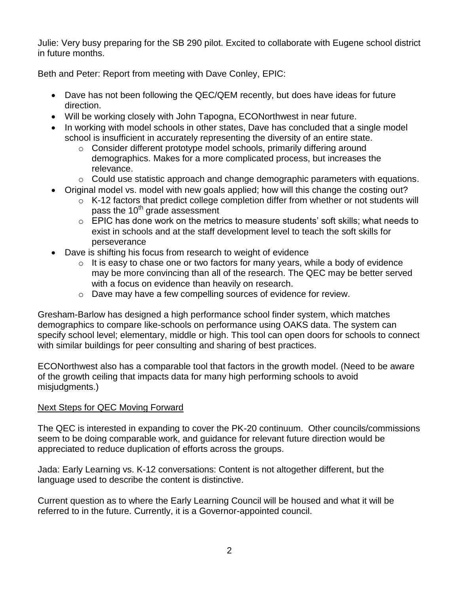Julie: Very busy preparing for the SB 290 pilot. Excited to collaborate with Eugene school district in future months.

Beth and Peter: Report from meeting with Dave Conley, EPIC:

- Dave has not been following the QEC/QEM recently, but does have ideas for future direction.
- Will be working closely with John Tapogna, ECONorthwest in near future.
- In working with model schools in other states, Dave has concluded that a single model school is insufficient in accurately representing the diversity of an entire state.
	- o Consider different prototype model schools, primarily differing around demographics. Makes for a more complicated process, but increases the relevance.
	- $\circ$  Could use statistic approach and change demographic parameters with equations.
- Original model vs. model with new goals applied; how will this change the costing out?
	- o K-12 factors that predict college completion differ from whether or not students will pass the 10<sup>th</sup> grade assessment
	- o EPIC has done work on the metrics to measure students' soft skills; what needs to exist in schools and at the staff development level to teach the soft skills for perseverance
- Dave is shifting his focus from research to weight of evidence
	- $\circ$  It is easy to chase one or two factors for many years, while a body of evidence may be more convincing than all of the research. The QEC may be better served with a focus on evidence than heavily on research.
	- o Dave may have a few compelling sources of evidence for review.

Gresham-Barlow has designed a high performance school finder system, which matches demographics to compare like-schools on performance using OAKS data. The system can specify school level; elementary, middle or high. This tool can open doors for schools to connect with similar buildings for peer consulting and sharing of best practices.

ECONorthwest also has a comparable tool that factors in the growth model. (Need to be aware of the growth ceiling that impacts data for many high performing schools to avoid misjudgments.)

# Next Steps for QEC Moving Forward

The QEC is interested in expanding to cover the PK-20 continuum. Other councils/commissions seem to be doing comparable work, and guidance for relevant future direction would be appreciated to reduce duplication of efforts across the groups.

Jada: Early Learning vs. K-12 conversations: Content is not altogether different, but the language used to describe the content is distinctive.

Current question as to where the Early Learning Council will be housed and what it will be referred to in the future. Currently, it is a Governor-appointed council.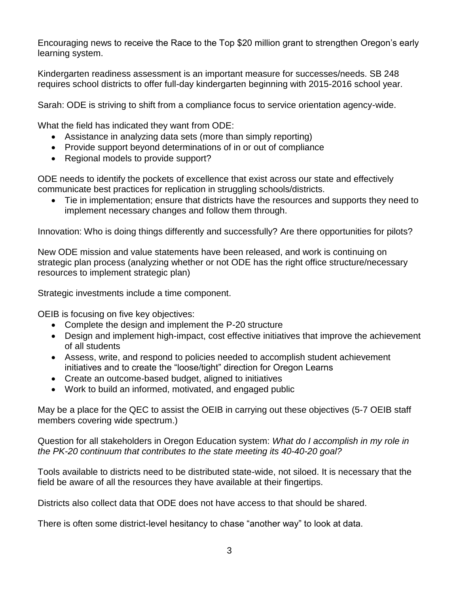Encouraging news to receive the Race to the Top \$20 million grant to strengthen Oregon's early learning system.

Kindergarten readiness assessment is an important measure for successes/needs. SB 248 requires school districts to offer full-day kindergarten beginning with 2015-2016 school year.

Sarah: ODE is striving to shift from a compliance focus to service orientation agency-wide.

What the field has indicated they want from ODE:

- Assistance in analyzing data sets (more than simply reporting)
- Provide support beyond determinations of in or out of compliance
- Regional models to provide support?

ODE needs to identify the pockets of excellence that exist across our state and effectively communicate best practices for replication in struggling schools/districts.

 Tie in implementation; ensure that districts have the resources and supports they need to implement necessary changes and follow them through.

Innovation: Who is doing things differently and successfully? Are there opportunities for pilots?

New ODE mission and value statements have been released, and work is continuing on strategic plan process (analyzing whether or not ODE has the right office structure/necessary resources to implement strategic plan)

Strategic investments include a time component.

OEIB is focusing on five key objectives:

- Complete the design and implement the P-20 structure
- Design and implement high-impact, cost effective initiatives that improve the achievement of all students
- Assess, write, and respond to policies needed to accomplish student achievement initiatives and to create the "loose/tight" direction for Oregon Learns
- Create an outcome-based budget, aligned to initiatives
- Work to build an informed, motivated, and engaged public

May be a place for the QEC to assist the OEIB in carrying out these objectives (5-7 OEIB staff members covering wide spectrum.)

Question for all stakeholders in Oregon Education system: *What do I accomplish in my role in the PK-20 continuum that contributes to the state meeting its 40-40-20 goal?*

Tools available to districts need to be distributed state-wide, not siloed. It is necessary that the field be aware of all the resources they have available at their fingertips.

Districts also collect data that ODE does not have access to that should be shared.

There is often some district-level hesitancy to chase "another way" to look at data.